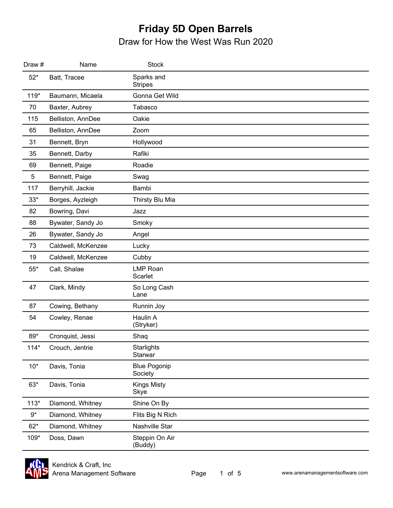| Draw #      | Name               | <b>Stock</b>                   |
|-------------|--------------------|--------------------------------|
| $52*$       | Batt, Tracee       | Sparks and<br><b>Stripes</b>   |
| $119*$      | Baumann, Micaela   | Gonna Get Wild                 |
| 70          | Baxter, Aubrey     | Tabasco                        |
| 115         | Belliston, AnnDee  | Oakie                          |
| 65          | Belliston, AnnDee  | Zoom                           |
| 31          | Bennett, Bryn      | Hollywood                      |
| 35          | Bennett, Darby     | Rafiki                         |
| 69          | Bennett, Paige     | Roadie                         |
| $\mathbf 5$ | Bennett, Paige     | Swag                           |
| 117         | Berryhill, Jackie  | Bambi                          |
| $33*$       | Borges, Ayzleigh   | Thirsty Blu Mia                |
| 82          | Bowring, Davi      | Jazz                           |
| 88          | Bywater, Sandy Jo  | Smoky                          |
| 26          | Bywater, Sandy Jo  | Angel                          |
| 73          | Caldwell, McKenzee | Lucky                          |
| 19          | Caldwell, McKenzee | Cubby                          |
| $55^{\ast}$ | Call, Shalae       | <b>LMP Roan</b><br>Scarlet     |
| 47          | Clark, Mindy       | So Long Cash<br>Lane           |
| 87          | Cowing, Bethany    | Runnin Joy                     |
| 54          | Cowley, Renae      | Haulin A<br>(Stryker)          |
| 89*         | Cronquist, Jessi   | Shaq                           |
| $114*$      | Crouch, Jentrie    | <b>Starlights</b><br>Starwar   |
| $10*$       | Davis, Tonia       | <b>Blue Pogonip</b><br>Society |
| $63*$       | Davis, Tonia       | <b>Kings Misty</b><br>Skye     |
| $113*$      | Diamond, Whitney   | Shine On By                    |
| $9^\star$   | Diamond, Whitney   | Flits Big N Rich               |
| $62*$       | Diamond, Whitney   | Nashville Star                 |
| 109*        | Doss, Dawn         | Steppin On Air<br>(Buddy)      |

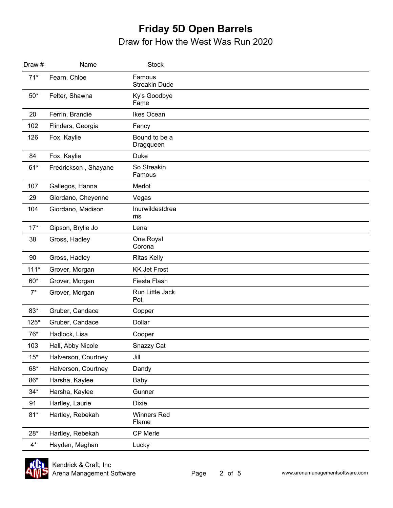| Draw # | Name                 | <b>Stock</b>                   |  |
|--------|----------------------|--------------------------------|--|
| $71*$  | Fearn, Chloe         | Famous<br><b>Streakin Dude</b> |  |
| $50*$  | Felter, Shawna       | Ky's Goodbye<br>Fame           |  |
| 20     | Ferrin, Brandie      | Ikes Ocean                     |  |
| 102    | Flinders, Georgia    | Fancy                          |  |
| 126    | Fox, Kaylie          | Bound to be a<br>Dragqueen     |  |
| 84     | Fox, Kaylie          | <b>Duke</b>                    |  |
| $61*$  | Fredrickson, Shayane | So Streakin<br>Famous          |  |
| 107    | Gallegos, Hanna      | Merlot                         |  |
| 29     | Giordano, Cheyenne   | Vegas                          |  |
| 104    | Giordano, Madison    | Inurwildestdrea<br>ms          |  |
| $17*$  | Gipson, Brylie Jo    | Lena                           |  |
| 38     | Gross, Hadley        | One Royal<br>Corona            |  |
| 90     | Gross, Hadley        | <b>Ritas Kelly</b>             |  |
| $111*$ | Grover, Morgan       | <b>KK Jet Frost</b>            |  |
| $60*$  | Grover, Morgan       | Fiesta Flash                   |  |
| $7^*$  | Grover, Morgan       | Run Little Jack<br>Pot         |  |
| $83*$  | Gruber, Candace      | Copper                         |  |
| $125*$ | Gruber, Candace      | Dollar                         |  |
| 76*    | Hadlock, Lisa        | Cooper                         |  |
| 103    | Hall, Abby Nicole    | Snazzy Cat                     |  |
| $15*$  | Halverson, Courtney  | Jill                           |  |
| 68*    | Halverson, Courtney  | Dandy                          |  |
| $86*$  | Harsha, Kaylee       | Baby                           |  |
| $34*$  | Harsha, Kaylee       | Gunner                         |  |
| 91     | Hartley, Laurie      | <b>Dixie</b>                   |  |
| $81*$  | Hartley, Rebekah     | <b>Winners Red</b><br>Flame    |  |
| $28*$  | Hartley, Rebekah     | CP Merle                       |  |
| $4^*$  | Hayden, Meghan       | Lucky                          |  |

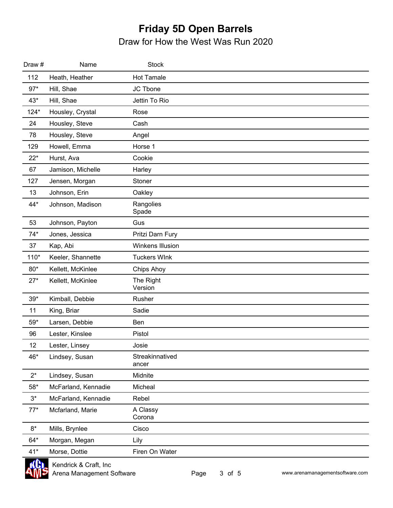| Draw #     | Name                | <b>Stock</b>             |
|------------|---------------------|--------------------------|
| 112        | Heath, Heather      | <b>Hot Tamale</b>        |
| $97*$      | Hill, Shae          | JC Tbone                 |
| $43*$      | Hill, Shae          | Jettin To Rio            |
| $124*$     | Housley, Crystal    | Rose                     |
| 24         | Housley, Steve      | Cash                     |
| 78         | Housley, Steve      | Angel                    |
| 129        | Howell, Emma        | Horse 1                  |
| $22*$      | Hurst, Ava          | Cookie                   |
| 67         | Jamison, Michelle   | Harley                   |
| 127        | Jensen, Morgan      | Stoner                   |
| 13         | Johnson, Erin       | Oakley                   |
| 44*        | Johnson, Madison    | Rangolies<br>Spade       |
| 53         | Johnson, Payton     | Gus                      |
| $74*$      | Jones, Jessica      | Pritzi Darn Fury         |
| 37         | Kap, Abi            | Winkens Illusion         |
| $110*$     | Keeler, Shannette   | <b>Tuckers WInk</b>      |
| $80*$      | Kellett, McKinlee   | Chips Ahoy               |
| $27*$      | Kellett, McKinlee   | The Right<br>Version     |
| $39*$      | Kimball, Debbie     | Rusher                   |
| 11         | King, Briar         | Sadie                    |
| 59*        | Larsen, Debbie      | Ben                      |
| 96         | Lester, Kinslee     | Pistol                   |
| 12         | Lester, Linsey      | Josie                    |
| 46*        | Lindsey, Susan      | Streakinnatived<br>ancer |
| $2^*$      | Lindsey, Susan      | Midnite                  |
| 58*        | McFarland, Kennadie | Micheal                  |
| $3^{\ast}$ | McFarland, Kennadie | Rebel                    |
| $77*$      | Mcfarland, Marie    | A Classy<br>Corona       |
| $8*$       | Mills, Brynlee      | Cisco                    |
| 64*        | Morgan, Megan       | Lily                     |
| $41*$      | Morse, Dottie       | Firen On Water           |

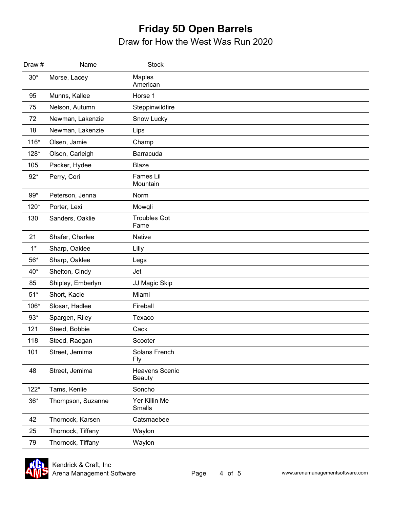| Draw # | Name              | <b>Stock</b>                    |  |
|--------|-------------------|---------------------------------|--|
| $30*$  | Morse, Lacey      | Maples<br>American              |  |
| 95     | Munns, Kallee     | Horse 1                         |  |
| 75     | Nelson, Autumn    | Steppinwildfire                 |  |
| 72     | Newman, Lakenzie  | Snow Lucky                      |  |
| 18     | Newman, Lakenzie  | Lips                            |  |
| $116*$ | Olsen, Jamie      | Champ                           |  |
| 128*   | Olson, Carleigh   | Barracuda                       |  |
| 105    | Packer, Hydee     | <b>Blaze</b>                    |  |
| $92*$  | Perry, Cori       | Fames Lil<br>Mountain           |  |
| $99*$  | Peterson, Jenna   | Norm                            |  |
| 120*   | Porter, Lexi      | Mowgli                          |  |
| 130    | Sanders, Oaklie   | <b>Troubles Got</b><br>Fame     |  |
| 21     | Shafer, Charlee   | Native                          |  |
| $1^*$  | Sharp, Oaklee     | Lilly                           |  |
| $56*$  | Sharp, Oaklee     | Legs                            |  |
| $40*$  | Shelton, Cindy    | Jet                             |  |
| 85     | Shipley, Emberlyn | JJ Magic Skip                   |  |
| $51*$  | Short, Kacie      | Miami                           |  |
| 106*   | Slosar, Hadlee    | Fireball                        |  |
| $93*$  | Spargen, Riley    | Texaco                          |  |
| 121    | Steed, Bobbie     | Cack                            |  |
| 118    | Steed, Raegan     | Scooter                         |  |
| 101    | Street, Jemima    | Solans French<br><b>Fly</b>     |  |
| 48     | Street, Jemima    | Heavens Scenic<br><b>Beauty</b> |  |
| $122*$ | Tams, Kenlie      | Soncho                          |  |
| $36*$  | Thompson, Suzanne | Yer Killin Me<br>Smalls         |  |
| 42     | Thornock, Karsen  | Catsmaebee                      |  |
| 25     | Thornock, Tiffany | Waylon                          |  |
| 79     | Thornock, Tiffany | Waylon                          |  |